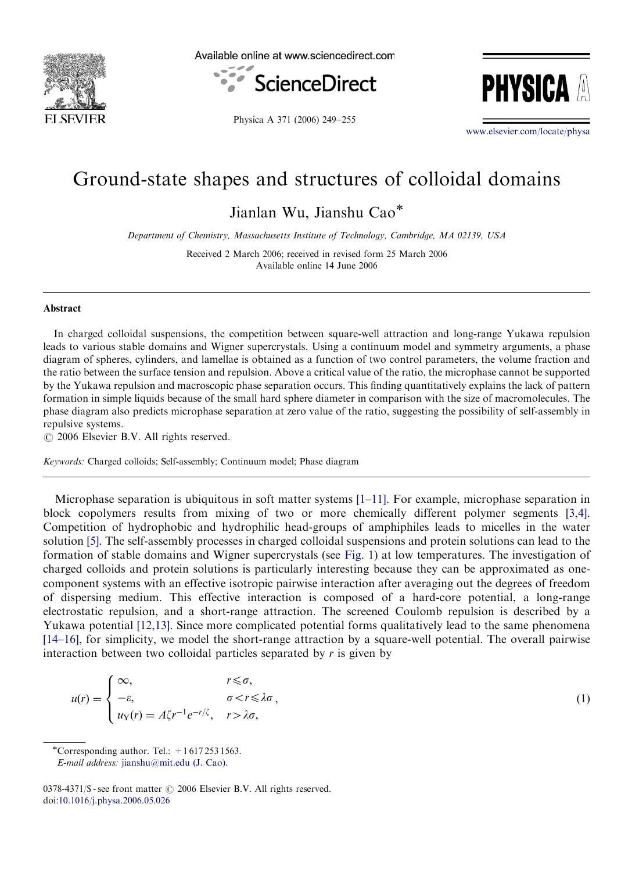

Available online at www.sciencedirect.com





Physica A 371 (2006) 249–255

<www.elsevier.com/locate/physa>

## Ground-state shapes and structures of colloidal domains

Jianlan Wu, Jianshu Cao

Department of Chemistry, Massachusetts Institute of Technology, Cambridge, MA 02139, USA

Received 2 March 2006; received in revised form 25 March 2006 Available online 14 June 2006

## Abstract

In charged colloidal suspensions, the competition between square-well attraction and long-range Yukawa repulsion leads to various stable domains and Wigner supercrystals. Using a continuum model and symmetry arguments, a phase diagram of spheres, cylinders, and lamellae is obtained as a function of two control parameters, the volume fraction and the ratio between the surface tension and repulsion. Above a critical value of the ratio, the microphase cannot be supported by the Yukawa repulsion and macroscopic phase separation occurs. This finding quantitatively explains the lack of pattern formation in simple liquids because of the small hard sphere diameter in comparison with the size of macromolecules. The phase diagram also predicts microphase separation at zero value of the ratio, suggesting the possibility of self-assembly in repulsive systems.

 $\odot$  2006 Elsevier B.V. All rights reserved.

Keywords: Charged colloids; Self-assembly; Continuum model; Phase diagram

Microphase separation is ubiquitous in soft matter systems [\[1–11\]](#page-5-0). For example, microphase separation in block copolymers results from mixing of two or more chemically different polymer segments [\[3,4\]](#page-5-0). Competition of hydrophobic and hydrophilic head-groups of amphiphiles leads to micelles in the water solution [\[5\]](#page-5-0). The self-assembly processes in charged colloidal suspensions and protein solutions can lead to the formation of stable domains and Wigner supercrystals (see [Fig. 1\)](#page-1-0) at low temperatures. The investigation of charged colloids and protein solutions is particularly interesting because they can be approximated as onecomponent systems with an effective isotropic pairwise interaction after averaging out the degrees of freedom of dispersing medium. This effective interaction is composed of a hard-core potential, a long-range electrostatic repulsion, and a short-range attraction. The screened Coulomb repulsion is described by a Yukawa potential [\[12,13\].](#page-5-0) Since more complicated potential forms qualitatively lead to the same phenomena [\[14–16\]](#page-5-0), for simplicity, we model the short-range attraction by a square-well potential. The overall pairwise interaction between two colloidal particles separated by  $r$  is given by

$$
u(r) = \begin{cases} \infty, & r \leq \sigma, \\ -\varepsilon, & \sigma < r \leq \lambda \sigma, \\ u_Y(r) = A\zeta r^{-1} e^{-r/\zeta}, & r > \lambda \sigma, \end{cases}
$$
 (1)

\*Corresponding author. Tel.:  $+16172531563$ .

E-mail address: [jianshu@mit.edu \(J. Cao\).](mailto:jianshu@mit.edu)

<sup>0378-4371/\$ -</sup> see front matter  $\odot$  2006 Elsevier B.V. All rights reserved. doi:[10.1016/j.physa.2006.05.026](dx.doi.org/10.1016/j.physa.2006.05.026)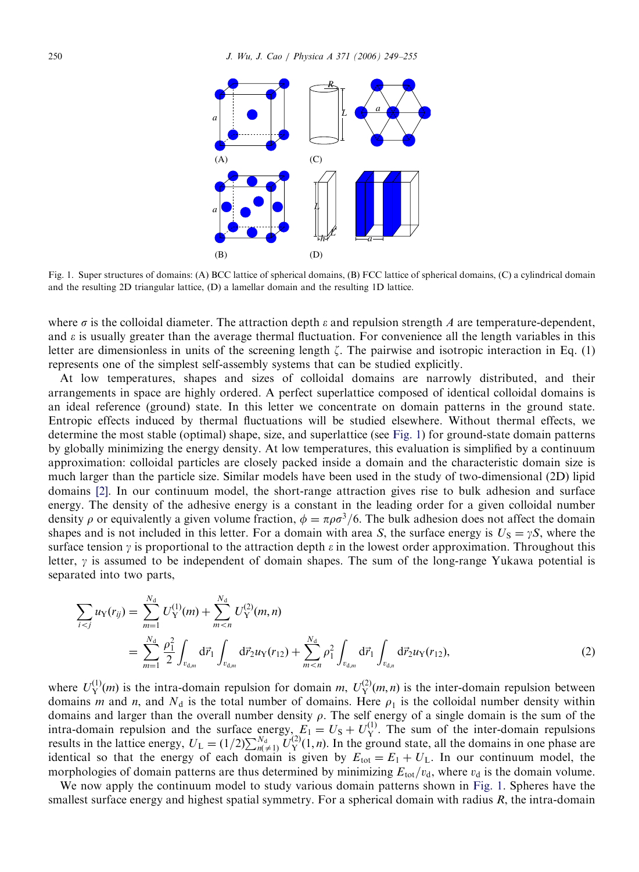<span id="page-1-0"></span>

Fig. 1. Super structures of domains: (A) BCC lattice of spherical domains, (B) FCC lattice of spherical domains, (C) a cylindrical domain and the resulting 2D triangular lattice, (D) a lamellar domain and the resulting 1D lattice.

where  $\sigma$  is the colloidal diameter. The attraction depth  $\varepsilon$  and repulsion strength A are temperature-dependent, and  $\varepsilon$  is usually greater than the average thermal fluctuation. For convenience all the length variables in this letter are dimensionless in units of the screening length  $\zeta$ . The pairwise and isotropic interaction in Eq. (1) represents one of the simplest self-assembly systems that can be studied explicitly.

At low temperatures, shapes and sizes of colloidal domains are narrowly distributed, and their arrangements in space are highly ordered. A perfect superlattice composed of identical colloidal domains is an ideal reference (ground) state. In this letter we concentrate on domain patterns in the ground state. Entropic effects induced by thermal fluctuations will be studied elsewhere. Without thermal effects, we determine the most stable (optimal) shape, size, and superlattice (see Fig. 1) for ground-state domain patterns by globally minimizing the energy density. At low temperatures, this evaluation is simplified by a continuum approximation: colloidal particles are closely packed inside a domain and the characteristic domain size is much larger than the particle size. Similar models have been used in the study of two-dimensional (2D) lipid domains [\[2\]](#page-5-0). In our continuum model, the short-range attraction gives rise to bulk adhesion and surface energy. The density of the adhesive energy is a constant in the leading order for a given colloidal number density  $\rho$  or equivalently a given volume fraction,  $\phi = \pi \rho \sigma^3/6$ . The bulk adhesion does not affect the domain shapes and is not included in this letter. For a domain with area S, the surface energy is  $U_S = \gamma S$ , where the surface tension  $\gamma$  is proportional to the attraction depth  $\varepsilon$  in the lowest order approximation. Throughout this letter,  $\gamma$  is assumed to be independent of domain shapes. The sum of the long-range Yukawa potential is separated into two parts,

$$
\sum_{i < j} u_Y(r_{ij}) = \sum_{m=1}^{N_d} U_Y^{(1)}(m) + \sum_{m < n}^{N_d} U_Y^{(2)}(m, n) \n= \sum_{m=1}^{N_d} \frac{\rho_1^2}{2} \int_{v_{d,m}} d\vec{r}_1 \int_{v_{d,m}} d\vec{r}_2 u_Y(r_{12}) + \sum_{m < n}^{N_d} \rho_1^2 \int_{v_{d,m}} d\vec{r}_1 \int_{v_{d,n}} d\vec{r}_2 u_Y(r_{12}),
$$
\n(2)

where  $U_Y^{(1)}(m)$  is the intra-domain repulsion for domain m,  $U_Y^{(2)}(m,n)$  is the inter-domain repulsion between domains m and n, and  $N_d$  is the total number of domains. Here  $\rho_1$  is the colloidal number density within domains and larger than the overall number density  $\rho$ . The self energy of a single domain is the sum of the intra-domain repulsion and the surface energy,  $E_1 = U_s + U_Y^{(1)}$ . The sum of the inter-domain repulsions results in the lattice energy,  $U_L = (1/2) \sum_{n(\neq 1)}^{N_d} U_Y^{(2)}(1, n)$ . In the ground state, all the domains in one phase are identical so that the energy of each domain is given by  $E_{tot} = E_1 + U_L$ . In our continuum model, the morphologies of domain patterns are thus determined by minimizing  $E_{\text{tot}}/v_{\text{d}}$ , where  $v_{\text{d}}$  is the domain volume.

We now apply the continuum model to study various domain patterns shown in Fig. 1. Spheres have the smallest surface energy and highest spatial symmetry. For a spherical domain with radius  $R$ , the intra-domain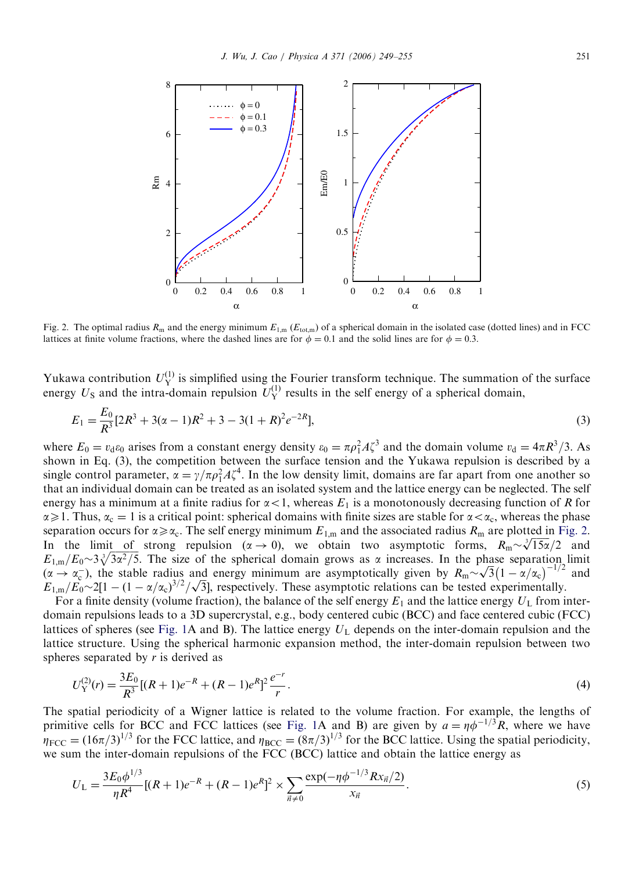<span id="page-2-0"></span>

Fig. 2. The optimal radius  $R_m$  and the energy minimum  $E_{1,m}$  ( $E_{\text{tot,m}}$ ) of a spherical domain in the isolated case (dotted lines) and in FCC lattices at finite volume fractions, where the dashed lines are for  $\phi = 0.1$  and the solid lines are for  $\phi = 0.3$ .

Yukawa contribution  $U_Y^{(1)}$  is simplified using the Fourier transform technique. The summation of the surface energy  $U_S$  and the intra-domain repulsion  $U_Y^{(1)}$  results in the self energy of a spherical domain,

$$
E_1 = \frac{E_0}{R^3} [2R^3 + 3(\alpha - 1)R^2 + 3 - 3(1 + R)^2 e^{-2R}],
$$
\n(3)

where  $E_0 = v_d \varepsilon_0$  arises from a constant energy density  $\varepsilon_0 = \pi \rho_1^2 A \zeta^3$  and the domain volume  $v_d = 4\pi R^3/3$ . As shown in Eq. (3), the competition between the surface tension and the Yukawa repulsion is described by a single control parameter,  $\alpha = \gamma/\pi \rho_1^2 A \zeta^4$ . In the low density limit, domains are far apart from one another so that an individual domain can be treated as an isolated system and the lattice energy can be neglected. The self energy has a minimum at a finite radius for  $\alpha$ <1, whereas  $E_1$  is a monotonously decreasing function of R for  $\alpha \geq 1$ . Thus,  $\alpha_c = 1$  is a critical point: spherical domains with finite sizes are stable for  $\alpha < \alpha_c$ , whereas the phase separation occurs for  $\alpha \ge \alpha_c$ . The self energy minimum  $E_{1,m}$  and the associated radius  $R_m$  are plotted in Fig. 2. Separation occurs for  $\alpha \ge \alpha_c$ . The self energy minimum  $E_{1,m}$  and the associated radius  $R_m$  are plotted in Fig. 2.<br>In the limit of strong repulsion  $(\alpha \to 0)$ , we obtain two asymptotic forms,  $R_m \sim \sqrt[3]{15\alpha}/2$  and  $E_{1,m}/E_0 \sim 3\sqrt[3]{3\alpha^2/5}$ . The size of the spherical domain grows as  $\alpha$  increases. In the phase separation limit  $E_{1,m}/E_0 \sim 3\sqrt{3\alpha^2/5}$ . The size of the spherical domain grows as  $\alpha$  increases. In the phase separation limit  $(\alpha \to \alpha_c^-)$ , the stable radius and energy minimum are asymptotically given by  $R_m \sim \sqrt{3}(1 - \alpha/\alpha_c)^{-1/2}$  and  $(\alpha \to \alpha_c)$ , the stable radius and energy minimum are asymptotically given by  $K_m \sim \sqrt{3}(1 - \alpha/\alpha_c)$ <br> $E_{1,m}/E_0 \sim 2[1 - (1 - \alpha/\alpha_c)^{3/2}/\sqrt{3}]$ , respectively. These asymptotic relations can be tested experimentally.

For a finite density (volume fraction), the balance of the self energy  $E_1$  and the lattice energy  $U_L$  from interdomain repulsions leads to a 3D supercrystal, e.g., body centered cubic (BCC) and face centered cubic (FCC) lattices of spheres (see [Fig. 1A](#page-1-0) and B). The lattice energy  $U_L$  depends on the inter-domain repulsion and the lattice structure. Using the spherical harmonic expansion method, the inter-domain repulsion between two spheres separated by  $r$  is derived as

$$
U_Y^{(2)}(r) = \frac{3E_0}{R^3} [(R+1)e^{-R} + (R-1)e^{-R}]^2 \frac{e^{-r}}{r}.
$$
\n(4)

The spatial periodicity of a Wigner lattice is related to the volume fraction. For example, the lengths of primitive cells for BCC and FCC lattices (see [Fig. 1A](#page-1-0) and B) are given by  $a = \eta \phi^{-1/3} R$ , where we have  $\eta_{\text{FCC}} = (16\pi/3)^{1/3}$  for the FCC lattice, and  $\eta_{\text{BCC}} = (8\pi/3)^{1/3}$  for the BCC lattice. Using the spatial periodicity, we sum the inter-domain repulsions of the FCC (BCC) lattice and obtain the lattice energy as

$$
U_{\rm L} = \frac{3E_0 \phi^{1/3}}{\eta R^4} [(R+1)e^{-R} + (R-1)e^R]^2 \times \sum_{\vec{n} \neq 0} \frac{\exp(-\eta \phi^{-1/3} R x_{\vec{n}}/2)}{x_{\vec{n}}}.
$$
 (5)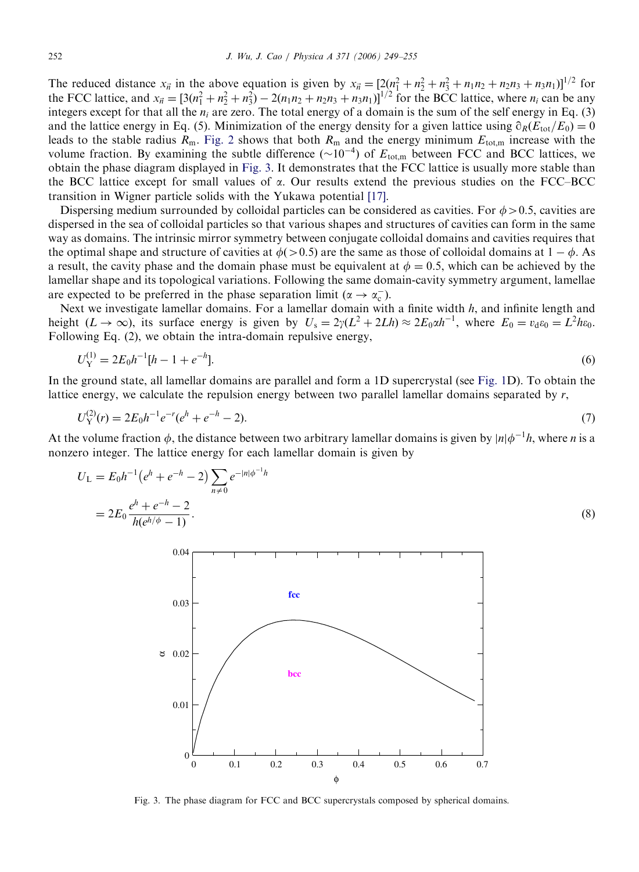The reduced distance  $x_{\vec{n}}$  in the above equation is given by  $x_{\vec{n}} = [2(n_1^2 + n_2^2 + n_3^2 + n_1n_2 + n_2n_3 + n_3n_1)]^{1/2}$  for the FCC lattice, and  $x_{\vec{n}} = [3(n_1^2 + n_2^2 + n_3^2) - 2(n_1n_2 + n_2n_3 + n_3n_1)]^{1/2}$  for the BCC lattice, where  $n_i$  can be any integers except for that all the  $n_i$  are zero. The total energy of a domain is the sum of the self energy in Eq. (3) and the lattice energy in Eq. (5). Minimization of the energy density for a given lattice using  $\partial_R(E_{tot}/E_0)=0$ leads to the stable radius  $R_m$ . [Fig. 2](#page-2-0) shows that both  $R_m$  and the energy minimum  $E_{tot,m}$  increase with the volume fraction. By examining the subtle difference  $(\sim 10^{-4})$  of  $E_{\text{tot,m}}$  between FCC and BCC lattices, we obtain the phase diagram displayed in Fig. 3. It demonstrates that the FCC lattice is usually more stable than the BCC lattice except for small values of  $\alpha$ . Our results extend the previous studies on the FCC–BCC transition in Wigner particle solids with the Yukawa potential [\[17\].](#page-6-0)

Dispersing medium surrounded by colloidal particles can be considered as cavities. For  $\phi > 0.5$ , cavities are dispersed in the sea of colloidal particles so that various shapes and structures of cavities can form in the same way as domains. The intrinsic mirror symmetry between conjugate colloidal domains and cavities requires that the optimal shape and structure of cavities at  $\phi(>0.5)$  are the same as those of colloidal domains at  $1 - \phi$ . As a result, the cavity phase and the domain phase must be equivalent at  $\phi = 0.5$ , which can be achieved by the lamellar shape and its topological variations. Following the same domain-cavity symmetry argument, lamellae are expected to be preferred in the phase separation limit ( $\alpha \rightarrow \alpha_c^{-}$ ).

Next we investigate lamellar domains. For a lamellar domain with a finite width  $h$ , and infinite length and height  $(L \to \infty)$ , its surface energy is given by  $U_s = 2\gamma(L^2 + 2Lh) \approx 2E_0 \alpha h^{-1}$ , where  $E_0 = v_d \varepsilon_0 = L^2 h \varepsilon_0$ . Following Eq. (2), we obtain the intra-domain repulsive energy,

$$
U_Y^{(1)} = 2E_0h^{-1}[h - 1 + e^{-h}].
$$
\n(6)

In the ground state, all lamellar domains are parallel and form a 1D supercrystal (see [Fig. 1D](#page-1-0)). To obtain the lattice energy, we calculate the repulsion energy between two parallel lamellar domains separated by  $r$ ,

$$
U_Y^{(2)}(r) = 2E_0h^{-1}e^{-r}(e^h + e^{-h} - 2).
$$
\n(7)

At the volume fraction  $\phi$ , the distance between two arbitrary lamellar domains is given by  $|n|\phi^{-1}h$ , where *n* is a nonzero integer. The lattice energy for each lamellar domain is given by

$$
U_{L} = E_{0}h^{-1}(e^{h} + e^{-h} - 2) \sum_{n \neq 0} e^{-|n|\phi^{-1}h}
$$
  
= 
$$
2E_{0} \frac{e^{h} + e^{-h} - 2}{h(e^{h/\phi} - 1)}.
$$
 (8)



Fig. 3. The phase diagram for FCC and BCC supercrystals composed by spherical domains.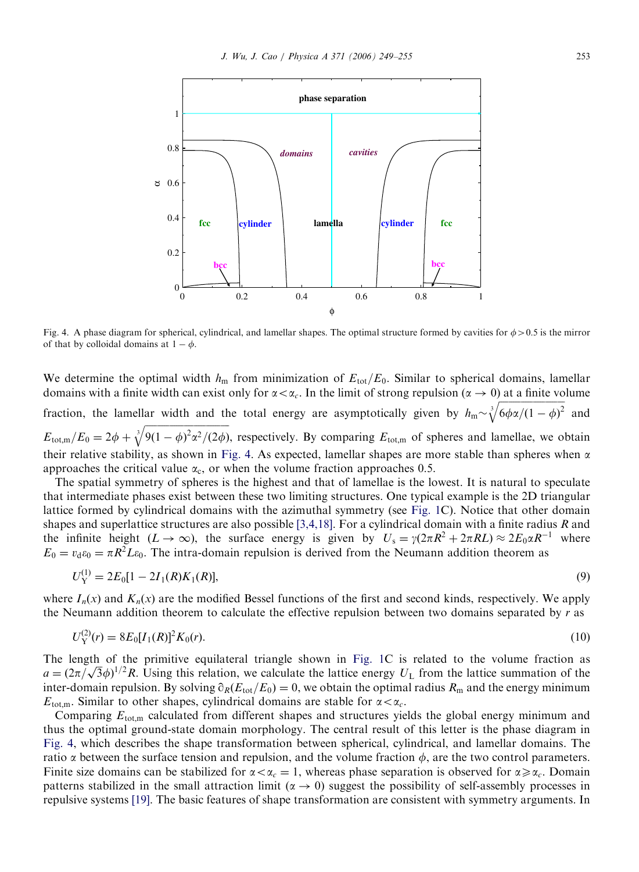<span id="page-4-0"></span>

Fig. 4. A phase diagram for spherical, cylindrical, and lamellar shapes. The optimal structure formed by cavities for  $\phi > 0.5$  is the mirror of that by colloidal domains at  $1 - \phi$ .

We determine the optimal width  $h_{\rm m}$  from minimization of  $E_{\rm tot}/E_0$ . Similar to spherical domains, lamellar domains with a finite width can exist only for  $\alpha < \alpha_c$ . In the limit of strong repulsion ( $\alpha \to 0$ ) at a finite volume fraction, the lamellar width and the total energy are asymptotically given by  $h_{\rm m}$ ffiffiffiffiffiffiffiffiffi $\frac{1}{2}$  $\int_{0}^{3}$ /6 $\phi$ α/(1 –  $\phi$ )<sup>2</sup>  $\tilde{a}$ and  $E_{\text{tot,m}}/E_0=2\phi +$ ffiffiffiffiffiffiffiffiffiffiffiffiffiffiffiffiffiffiffiffiffiffiffiffiffiffiffiffiffiffiffiffiffiffiffi  $\sqrt[3]{9(1-\phi)^2\alpha^2/(2\phi)}$  $\alpha$ , respectively. By comparing  $E_{\text{tot,m}}$  of spheres and lamellae, we obtain their relative stability, as shown in Fig. 4. As expected, lamellar shapes are more stable than spheres when  $\alpha$ approaches the critical value  $\alpha_c$ , or when the volume fraction approaches 0.5.

The spatial symmetry of spheres is the highest and that of lamellae is the lowest. It is natural to speculate that intermediate phases exist between these two limiting structures. One typical example is the 2D triangular lattice formed by cylindrical domains with the azimuthal symmetry (see [Fig. 1C](#page-1-0)). Notice that other domain shapes and superlattice structures are also possible [\[3,4,18\].](#page-5-0) For a cylindrical domain with a finite radius R and the infinite height  $(L \to \infty)$ , the surface energy is given by  $U_s = \gamma(2\pi R^2 + 2\pi R L) \approx 2E_0 \alpha R^{-1}$  where  $E_0 = v_d \varepsilon_0 = \pi R^2 L \varepsilon_0$ . The intra-domain repulsion is derived from the Neumann addition theorem as

$$
U_Y^{(1)} = 2E_0[1 - 2I_1(R)K_1(R)],
$$
\n(9)

where  $I_n(x)$  and  $K_n(x)$  are the modified Bessel functions of the first and second kinds, respectively. We apply the Neumann addition theorem to calculate the effective repulsion between two domains separated by  $r$  as

$$
U_Y^{(2)}(r) = 8E_0[I_1(R)]^2 K_0(r). \tag{10}
$$

The length of the primitive equilateral triangle shown in [Fig. 1C](#page-1-0) is related to the volume fraction as The length of the primitive equilateral triangle shown in Fig. 1C is related to the volume fraction as  $a = (2\pi/\sqrt{3}\phi)^{1/2}R$ . Using this relation, we calculate the lattice energy  $U_L$  from the lattice summation of the inter-domain repulsion. By solving  $\partial_R(E_{tot}/E_0)=0$ , we obtain the optimal radius  $R_m$  and the energy minimum  $E_{\text{tot,m}}$ . Similar to other shapes, cylindrical domains are stable for  $\alpha < \alpha_c$ .

Comparing  $E_{\text{tot,m}}$  calculated from different shapes and structures yields the global energy minimum and thus the optimal ground-state domain morphology. The central result of this letter is the phase diagram in Fig. 4, which describes the shape transformation between spherical, cylindrical, and lamellar domains. The ratio  $\alpha$  between the surface tension and repulsion, and the volume fraction  $\phi$ , are the two control parameters. Finite size domains can be stabilized for  $\alpha < \alpha_c = 1$ , whereas phase separation is observed for  $\alpha \geq \alpha_c$ . Domain patterns stabilized in the small attraction limit ( $\alpha \rightarrow 0$ ) suggest the possibility of self-assembly processes in repulsive systems [\[19\].](#page-6-0) The basic features of shape transformation are consistent with symmetry arguments. In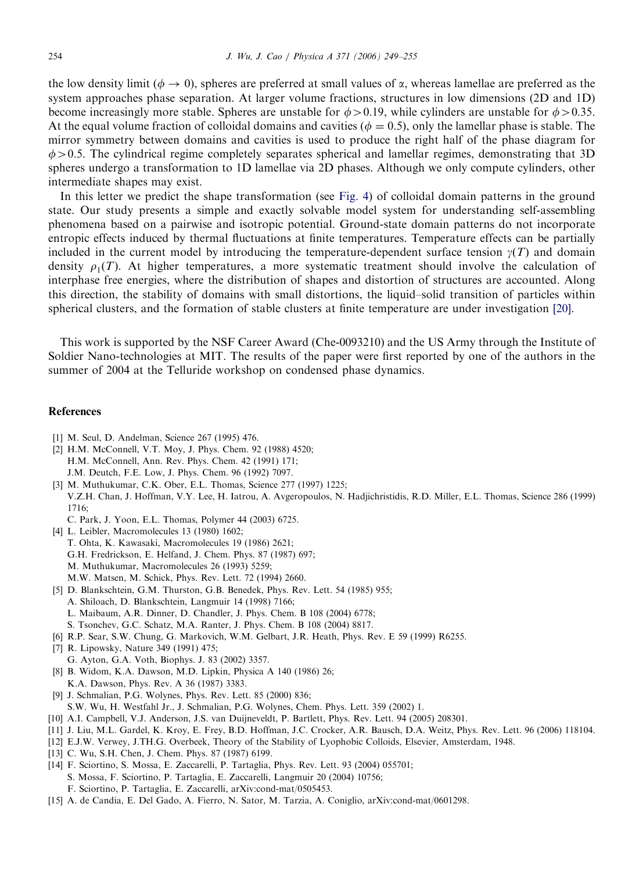<span id="page-5-0"></span>the low density limit ( $\phi \to 0$ ), spheres are preferred at small values of  $\alpha$ , whereas lamellae are preferred as the system approaches phase separation. At larger volume fractions, structures in low dimensions (2D and 1D) become increasingly more stable. Spheres are unstable for  $\phi > 0.19$ , while cylinders are unstable for  $\phi > 0.35$ . At the equal volume fraction of colloidal domains and cavities ( $\phi = 0.5$ ), only the lamellar phase is stable. The mirror symmetry between domains and cavities is used to produce the right half of the phase diagram for  $\phi > 0.5$ . The cylindrical regime completely separates spherical and lamellar regimes, demonstrating that 3D spheres undergo a transformation to 1D lamellae via 2D phases. Although we only compute cylinders, other intermediate shapes may exist.

In this letter we predict the shape transformation (see [Fig. 4](#page-4-0)) of colloidal domain patterns in the ground state. Our study presents a simple and exactly solvable model system for understanding self-assembling phenomena based on a pairwise and isotropic potential. Ground-state domain patterns do not incorporate entropic effects induced by thermal fluctuations at finite temperatures. Temperature effects can be partially included in the current model by introducing the temperature-dependent surface tension  $\gamma(T)$  and domain density  $\rho_1(T)$ . At higher temperatures, a more systematic treatment should involve the calculation of interphase free energies, where the distribution of shapes and distortion of structures are accounted. Along this direction, the stability of domains with small distortions, the liquid–solid transition of particles within spherical clusters, and the formation of stable clusters at finite temperature are under investigation [\[20\].](#page-6-0)

This work is supported by the NSF Career Award (Che-0093210) and the US Army through the Institute of Soldier Nano-technologies at MIT. The results of the paper were first reported by one of the authors in the summer of 2004 at the Telluride workshop on condensed phase dynamics.

## References

- [1] M. Seul, D. Andelman, Science 267 (1995) 476.
- [2] H.M. McConnell, V.T. Moy, J. Phys. Chem. 92 (1988) 4520; H.M. McConnell, Ann. Rev. Phys. Chem. 42 (1991) 171; J.M. Deutch, F.E. Low, J. Phys. Chem. 96 (1992) 7097.
- [3] M. Muthukumar, C.K. Ober, E.L. Thomas, Science 277 (1997) 1225; V.Z.H. Chan, J. Hoffman, V.Y. Lee, H. Iatrou, A. Avgeropoulos, N. Hadjichristidis, R.D. Miller, E.L. Thomas, Science 286 (1999) 1716;
	- C. Park, J. Yoon, E.L. Thomas, Polymer 44 (2003) 6725.
- [4] L. Leibler, Macromolecules 13 (1980) 1602; T. Ohta, K. Kawasaki, Macromolecules 19 (1986) 2621; G.H. Fredrickson, E. Helfand, J. Chem. Phys. 87 (1987) 697; M. Muthukumar, Macromolecules 26 (1993) 5259; M.W. Matsen, M. Schick, Phys. Rev. Lett. 72 (1994) 2660.
- [5] D. Blankschtein, G.M. Thurston, G.B. Benedek, Phys. Rev. Lett. 54 (1985) 955; A. Shiloach, D. Blankschtein, Langmuir 14 (1998) 7166; L. Maibaum, A.R. Dinner, D. Chandler, J. Phys. Chem. B 108 (2004) 6778; S. Tsonchev, G.C. Schatz, M.A. Ranter, J. Phys. Chem. B 108 (2004) 8817.
- [6] R.P. Sear, S.W. Chung, G. Markovich, W.M. Gelbart, J.R. Heath, Phys. Rev. E 59 (1999) R6255.
- [7] R. Lipowsky, Nature 349 (1991) 475;
- G. Ayton, G.A. Voth, Biophys. J. 83 (2002) 3357. [8] B. Widom, K.A. Dawson, M.D. Lipkin, Physica A 140 (1986) 26;
- K.A. Dawson, Phys. Rev. A 36 (1987) 3383.
- [9] J. Schmalian, P.G. Wolynes, Phys. Rev. Lett. 85 (2000) 836; S.W. Wu, H. Westfahl Jr., J. Schmalian, P.G. Wolynes, Chem. Phys. Lett. 359 (2002) 1.
- [10] A.I. Campbell, V.J. Anderson, J.S. van Duijneveldt, P. Bartlett, Phys. Rev. Lett. 94 (2005) 208301.
- [11] J. Liu, M.L. Gardel, K. Kroy, E. Frey, B.D. Hoffman, J.C. Crocker, A.R. Bausch, D.A. Weitz, Phys. Rev. Lett. 96 (2006) 118104.
- [12] E.J.W. Verwey, J.TH.G. Overbeek, Theory of the Stability of Lyophobic Colloids, Elsevier, Amsterdam, 1948.
- [13] C. Wu, S.H. Chen, J. Chem. Phys. 87 (1987) 6199.
- [14] F. Sciortino, S. Mossa, E. Zaccarelli, P. Tartaglia, Phys. Rev. Lett. 93 (2004) 055701;
- S. Mossa, F. Sciortino, P. Tartaglia, E. Zaccarelli, Langmuir 20 (2004) 10756;
- F. Sciortino, P. Tartaglia, E. Zaccarelli, arXiv:cond-mat/0505453.
- [15] A. de Candia, E. Del Gado, A. Fierro, N. Sator, M. Tarzia, A. Coniglio, arXiv:cond-mat/0601298.